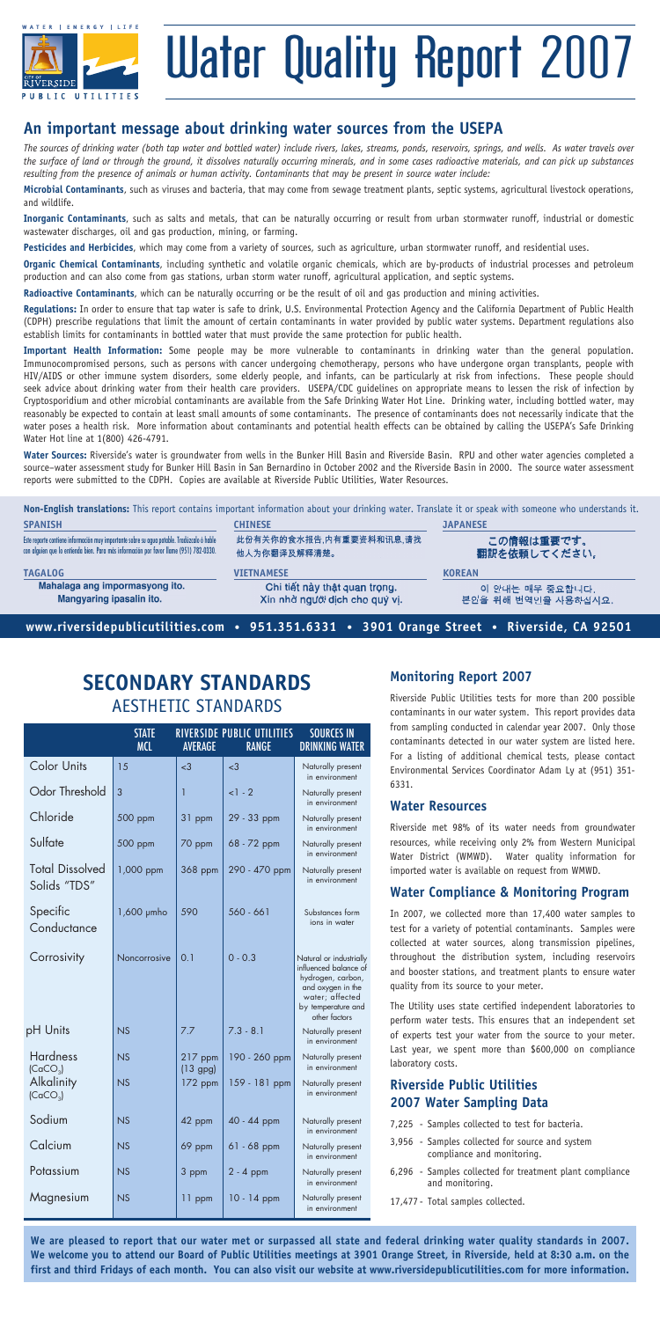

# Water Quality Report 2007

## **An important message about drinking water sources from the usepa**

*The sources of drinking water (both tap water and bottled water) include rivers, lakes, streams, ponds, reservoirs, springs, and wells. As water travels over the surface of land or through the ground, it dissolves naturally occurring minerals, and in some cases radioactive materials, and can pick up substances resulting from the presence of animals or human activity. Contaminants that may be present in source water include:*

**Microbial Contaminants**, such as viruses and bacteria, that may come from sewage treatment plants, septic systems, agricultural livestock operations, and wildlife.

**Inorganic Contaminants**, such as salts and metals, that can be naturally occurring or result from urban stormwater runoff, industrial or domestic wastewater discharges, oil and gas production, mining, or farming.

**Pesticides and Herbicides**, which may come from a variety of sources, such as agriculture, urban stormwater runoff, and residential uses.

**Organic Chemical Contaminants**, including synthetic and volatile organic chemicals, which are by-products of industrial processes and petroleum production and can also come from gas stations, urban storm water runoff, agricultural application, and septic systems.

**Radioactive Contaminants**, which can be naturally occurring or be the result of oil and gas production and mining activities.

**Regulations:** In order to ensure that tap water is safe to drink, U.S. Environmental Protection Agency and the California Department of Public Health (CDPH) prescribe regulations that limit the amount of certain contaminants in water provided by public water systems. Department regulations also establish limits for contaminants in bottled water that must provide the same protection for public health.

**Important Health Information:** Some people may be more vulnerable to contaminants in drinking water than the general population. Immunocompromised persons, such as persons with cancer undergoing chemotherapy, persons who have undergone organ transplants, people with HIV/AIDS or other immune system disorders, some elderly people, and infants, can be particularly at risk from infections. These people should seek advice about drinking water from their health care providers. USEPA/CDC guidelines on appropriate means to lessen the risk of infection by Cryptosporidium and other microbial contaminants are available from the Safe Drinking Water Hot Line. Drinking water, including bottled water, may reasonably be expected to contain at least small amounts of some contaminants. The presence of contaminants does not necessarily indicate that the water poses a health risk. More information about contaminants and potential health effects can be obtained by calling the USEPA's Safe Drinking Water Hot line at 1(800) 426-4791.

**Water Sources:** Riverside's water is groundwater from wells in the Bunker Hill Basin and Riverside Basin. RPU and other water agencies completed a source–water assessment study for Bunker Hill Basin in San Bernardino in October 2002 and the Riverside Basin in 2000. The source water assessment reports were submitted to the CDPH. Copies are available at Riverside Public Utilities, Water Resources.

**Non-English translations:** This report contains important information about your drinking water. Translate it or speak with someone who understands it. **Spanish chinese japanese** 此份有关你的食水报告,内有重要资料和讯息,请找 この情報は重要です。 Este reporte contiene información muy importante sobre su agua potable. Tradúzcalo ó hable con alguien que lo entienda bien. Para más información por favor llame (951) 782-0330. 他人为你翻译及解释清楚。 翻訳を依頼してください。 **tagalog vietnamese vietnamese vietnamese vietnamese korean korean korean korean korean korean korean korean korean korean korean korean korean korean <b>korean korean (korean etg) kor** 이 안내는 매우 중요합니다.<br>본인을 위해 번역인을 사용하십시요. Mangyaring ipasalin ito. Xin nhờ người dịch cho quý vị. **www.riversidepublicutilities.com • 951.351.6331 • 3901 Orange Street • Riverside, CA 92501**

## **Secondary Standards** Aesthetic Standards

|                                         | <b>STATE</b><br>MCL | <b>AVERAGE</b>          | RIVERSIDE PUBLIC UTILITIES<br><b>RANGE</b> | <b>SOURCES IN</b><br><b>DRINKING WATER</b>                                                                                                           |
|-----------------------------------------|---------------------|-------------------------|--------------------------------------------|------------------------------------------------------------------------------------------------------------------------------------------------------|
| Color Units                             | 15                  | $\leq$ 3                | $\leq$ 3                                   | Naturally present<br>in environment                                                                                                                  |
| Odor Threshold                          | 3                   | 1                       | $<1 - 2$                                   | Naturally present<br>in environment                                                                                                                  |
| Chloride                                | 500 ppm             | 31 ppm                  | 29 - 33 ppm                                | Naturally present<br>in environment                                                                                                                  |
| Sulfate                                 | 500 ppm             | 70 ppm                  | 68 - 72 ppm                                | Naturally present<br>in environment                                                                                                                  |
| <b>Total Dissolved</b><br>Solids "TDS"  | 1,000 ppm           | 368 ppm                 | 290 - 470 ppm                              | Naturally present<br>in environment                                                                                                                  |
| Specific<br>Conductance                 | $1,600$ $\mu$ mho   | 590                     | $560 - 661$                                | Substances form<br>ions in water                                                                                                                     |
| Corrosivity                             | Noncorrosive        | 0.1                     | $0 - 0.3$                                  | Natural or industrially<br>influenced balance of<br>hydrogen, carbon,<br>and oxygen in the<br>water; affected<br>by temperature and<br>other factors |
| pH Units                                | NS                  | 7.7                     | $7.3 - 8.1$                                | Naturally present<br>in environment                                                                                                                  |
| <b>Hardness</b><br>(CaCO <sub>3</sub> ) | NS                  | $217$ ppm<br>$(13$ gpg) | 190 - 260 ppm                              | Naturally present<br>in environment                                                                                                                  |
| Alkalinity<br>(CaCO <sub>3</sub> )      | NS                  | 172 ppm                 | 159 - 181 ppm                              | Naturally present<br>in environment                                                                                                                  |
| Sodium                                  | NS                  | 42 ppm                  | 40 - 44 ppm                                | Naturally present<br>in environment                                                                                                                  |
| Calcium                                 | NS                  | 69 ppm                  | $61 - 68$ ppm                              | Naturally present<br>in environment                                                                                                                  |
| Potassium                               | NS                  | 3 ppm                   | $2 - 4$ ppm                                | Naturally present<br>in environment                                                                                                                  |
| Magnesium                               | NS                  | 11 ppm                  | $10 - 14$ ppm                              | Naturally present<br>in environment                                                                                                                  |

### **Monitoring Report 2007**

Riverside Public Utilities tests for more than 200 possible contaminants in our water system. This report provides data from sampling conducted in calendar year 2007. Only those contaminants detected in our water system are listed here. For a listing of additional chemical tests, please contact Environmental Services Coordinator Adam Ly at (951) 351- 6331.

#### **Water Resources**

Riverside met 98% of its water needs from groundwater resources, while receiving only 2% from Western Municipal Water District (WMWD). Water quality information for imported water is available on request from WMWD.

#### **Water Compliance & Monitoring Program**

In 2007, we collected more than 17,400 water samples to test for a variety of potential contaminants. Samples were collected at water sources, along transmission pipelines, throughout the distribution system, including reservoirs and booster stations, and treatment plants to ensure water quality from its source to your meter.

The Utility uses state certified independent laboratories to perform water tests. This ensures that an independent set of experts test your water from the source to your meter. Last year, we spent more than \$600,000 on compliance laboratory costs.

#### **Riverside Public Utilities 2007 Water Sampling Data**

- 7,225 Samples collected to test for bacteria.
- 3,956 Samples collected for source and system compliance and monitoring.
- 6,296 Samples collected for treatment plant compliance and monitoring.
- 17,477 Total samples collected.

We are pleased to report that our water met or surpassed all state and federal drinking water quality standards in 2007. **We welcome you to attend our Board of Public Utilities meetings at 3901 Orange Street, in Riverside, held at 8:30 a.m. on the first and third Fridays of each month. You can also visit our website at www.riversidepublicutilities.com for more information.**